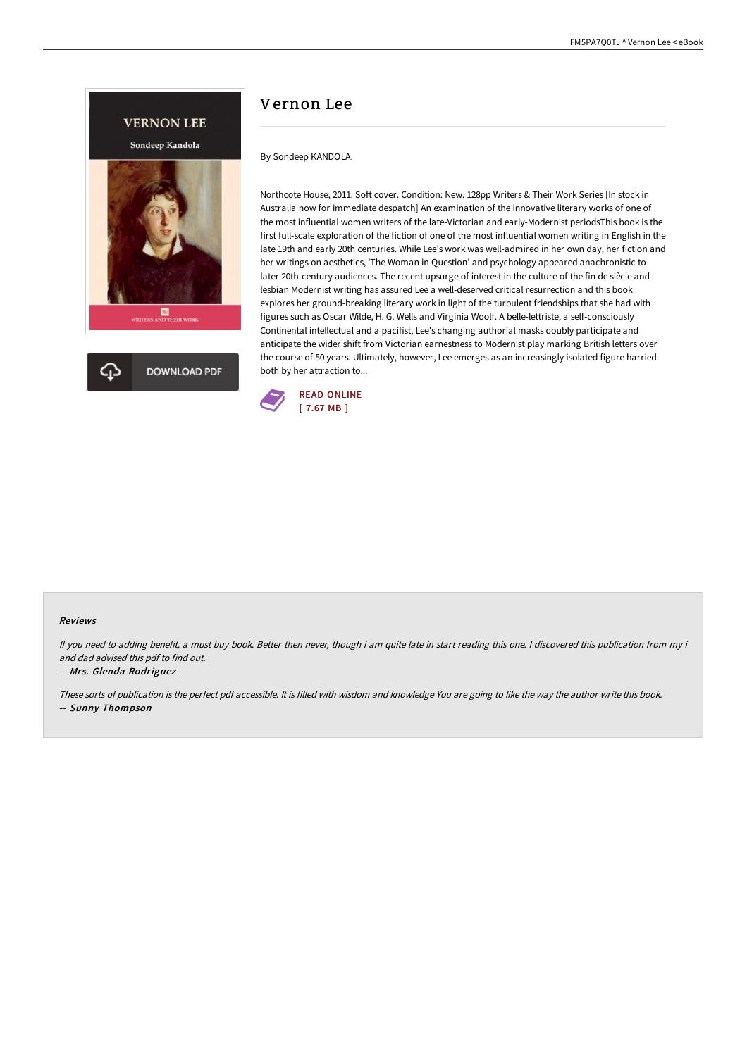

# Vernon Lee

By Sondeep KANDOLA.

Northcote House, 2011. Soft cover. Condition: New. 128pp Writers & Their Work Series [In stock in Australia now for immediate despatch] An examination of the innovative literary works of one of the most influential women writers of the late-Victorian and early-Modernist periodsThis book is the first full-scale exploration of the fiction of one of the most influential women writing in English in the late 19th and early 20th centuries. While Lee's work was well-admired in her own day, her fiction and her writings on aesthetics, 'The Woman in Question' and psychology appeared anachronistic to later 20th-century audiences. The recent upsurge of interest in the culture of the fin de siècle and lesbian Modernist writing has assured Lee a well-deserved critical resurrection and this book explores her ground-breaking literary work in light of the turbulent friendships that she had with figures such as Oscar Wilde, H. G. Wells and Virginia Woolf. A belle-lettriste, a self-consciously Continental intellectual and a pacifist, Lee's changing authorial masks doubly participate and anticipate the wider shift from Victorian earnestness to Modernist play marking British letters over the course of 50 years. Ultimately, however, Lee emerges as an increasingly isolated figure harried both by her attraction to...



#### Reviews

If you need to adding benefit, <sup>a</sup> must buy book. Better then never, though i am quite late in start reading this one. <sup>I</sup> discovered this publication from my i and dad advised this pdf to find out.

#### -- Mrs. Glenda Rodriguez

These sorts of publication is the perfect pdf accessible. It is filled with wisdom and knowledge You are going to like the way the author write this book. -- Sunny Thompson